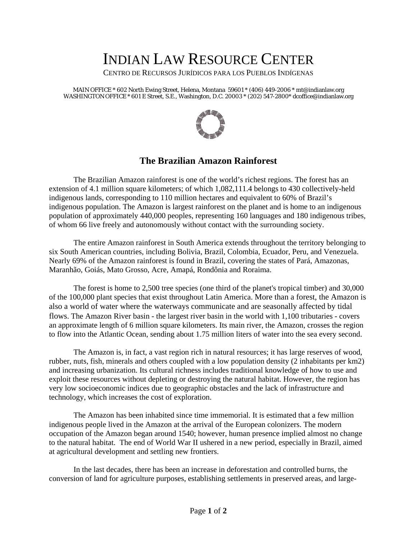## INDIAN LAW RESOURCE CENTER

CENTRO DE RECURSOS JURÍDICOS PARA LOS PUEBLOS INDÍGENAS

MAIN OFFICE \* 602 North Ewing Street, Helena, Montana 59601 \* (406) 449-2006 \* mt@indianlaw.org WASHINGTON OFFICE \* 601 E Street, S.E., Washington, D.C. 20003 \* (202) 547-2800\* dcoffice@indianlaw.org



## **The Brazilian Amazon Rainforest**

The Brazilian Amazon rainforest is one of the world's richest regions. The forest has an extension of 4.1 million square kilometers; of which 1,082,111.4 belongs to 430 collectively-held indigenous lands, corresponding to 110 million hectares and equivalent to 60% of Brazil's indigenous population. The Amazon is largest rainforest on the planet and is home to an indigenous population of approximately 440,000 peoples, representing 160 languages and 180 indigenous tribes, of whom 66 live freely and autonomously without contact with the surrounding society.

The entire Amazon rainforest in South America extends throughout the territory belonging to six South American countries, including Bolivia, Brazil, Colombia, Ecuador, Peru, and Venezuela. Nearly 69% of the Amazon rainforest is found in Brazil, covering the states of Pará, Amazonas, Maranhão, Goiás, Mato Grosso, Acre, Amapá, Rondônia and Roraima.

The forest is home to 2,500 tree species (one third of the planet's tropical timber) and 30,000 of the 100,000 plant species that exist throughout Latin America. More than a forest, the Amazon is also a world of water where the waterways communicate and are seasonally affected by tidal flows. The Amazon River basin - the largest river basin in the world with 1,100 tributaries - covers an approximate length of 6 million square kilometers. Its main river, the Amazon, crosses the region to flow into the Atlantic Ocean, sending about 1.75 million liters of water into the sea every second.

The Amazon is, in fact, a vast region rich in natural resources; it has large reserves of wood, rubber, nuts, fish, minerals and others coupled with a low population density (2 inhabitants per km2) and increasing urbanization. Its cultural richness includes traditional knowledge of how to use and exploit these resources without depleting or destroying the natural habitat. However, the region has very low socioeconomic indices due to geographic obstacles and the lack of infrastructure and technology, which increases the cost of exploration.

The Amazon has been inhabited since time immemorial. It is estimated that a few million indigenous people lived in the Amazon at the arrival of the European colonizers. The modern occupation of the Amazon began around 1540; however, human presence implied almost no change to the natural habitat. The end of World War II ushered in a new period, especially in Brazil, aimed at agricultural development and settling new frontiers.

In the last decades, there has been an increase in deforestation and controlled burns, the conversion of land for agriculture purposes, establishing settlements in preserved areas, and large